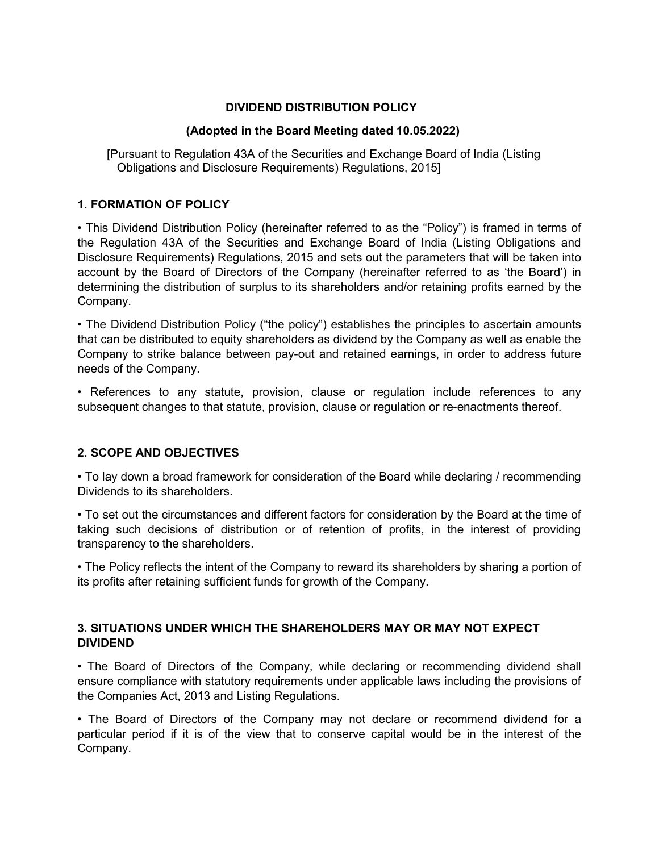# **DIVIDEND DISTRIBUTION POLICY**

#### **(Adopted in the Board Meeting dated 10.05.2022)**

 [Pursuant to Regulation 43A of the Securities and Exchange Board of India (Listing Obligations and Disclosure Requirements) Regulations, 2015]

#### **1. FORMATION OF POLICY**

• This Dividend Distribution Policy (hereinafter referred to as the "Policy") is framed in terms of the Regulation 43A of the Securities and Exchange Board of India (Listing Obligations and Disclosure Requirements) Regulations, 2015 and sets out the parameters that will be taken into account by the Board of Directors of the Company (hereinafter referred to as 'the Board') in determining the distribution of surplus to its shareholders and/or retaining profits earned by the Company.

• The Dividend Distribution Policy ("the policy") establishes the principles to ascertain amounts that can be distributed to equity shareholders as dividend by the Company as well as enable the Company to strike balance between pay-out and retained earnings, in order to address future needs of the Company.

• References to any statute, provision, clause or regulation include references to any subsequent changes to that statute, provision, clause or regulation or re-enactments thereof.

# **2. SCOPE AND OBJECTIVES**

• To lay down a broad framework for consideration of the Board while declaring / recommending Dividends to its shareholders.

• To set out the circumstances and different factors for consideration by the Board at the time of taking such decisions of distribution or of retention of profits, in the interest of providing transparency to the shareholders.

• The Policy reflects the intent of the Company to reward its shareholders by sharing a portion of its profits after retaining sufficient funds for growth of the Company.

# **3. SITUATIONS UNDER WHICH THE SHAREHOLDERS MAY OR MAY NOT EXPECT DIVIDEND**

• The Board of Directors of the Company, while declaring or recommending dividend shall ensure compliance with statutory requirements under applicable laws including the provisions of the Companies Act, 2013 and Listing Regulations.

• The Board of Directors of the Company may not declare or recommend dividend for a particular period if it is of the view that to conserve capital would be in the interest of the Company.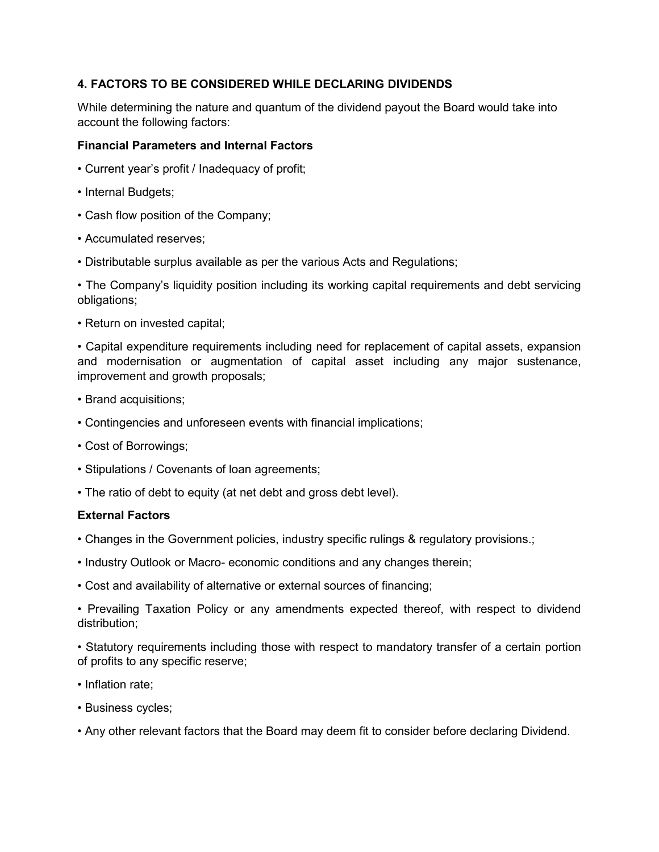# **4. FACTORS TO BE CONSIDERED WHILE DECLARING DIVIDENDS**

While determining the nature and quantum of the dividend payout the Board would take into account the following factors:

#### **Financial Parameters and Internal Factors**

- Current year's profit / Inadequacy of profit;
- Internal Budgets;
- Cash flow position of the Company;
- Accumulated reserves;
- Distributable surplus available as per the various Acts and Regulations;

• The Company's liquidity position including its working capital requirements and debt servicing obligations;

• Return on invested capital;

• Capital expenditure requirements including need for replacement of capital assets, expansion and modernisation or augmentation of capital asset including any major sustenance, improvement and growth proposals;

- Brand acquisitions;
- Contingencies and unforeseen events with financial implications;
- Cost of Borrowings;
- Stipulations / Covenants of loan agreements;
- The ratio of debt to equity (at net debt and gross debt level).

#### **External Factors**

- Changes in the Government policies, industry specific rulings & regulatory provisions.;
- Industry Outlook or Macro- economic conditions and any changes therein;
- Cost and availability of alternative or external sources of financing;

• Prevailing Taxation Policy or any amendments expected thereof, with respect to dividend distribution;

• Statutory requirements including those with respect to mandatory transfer of a certain portion of profits to any specific reserve;

- Inflation rate:
- Business cycles;
- Any other relevant factors that the Board may deem fit to consider before declaring Dividend.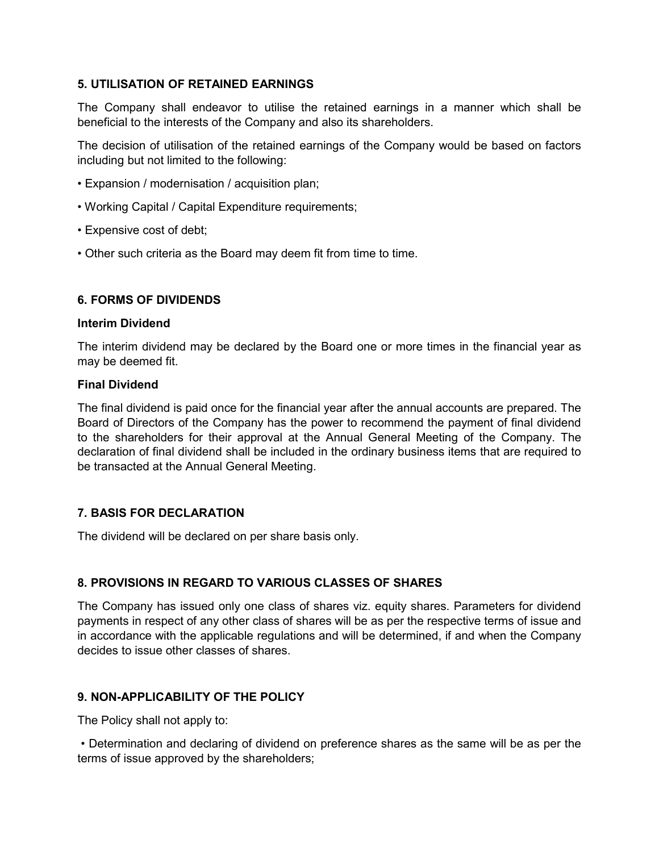# **5. UTILISATION OF RETAINED EARNINGS**

The Company shall endeavor to utilise the retained earnings in a manner which shall be beneficial to the interests of the Company and also its shareholders.

The decision of utilisation of the retained earnings of the Company would be based on factors including but not limited to the following:

- Expansion / modernisation / acquisition plan;
- Working Capital / Capital Expenditure requirements;
- Expensive cost of debt;
- Other such criteria as the Board may deem fit from time to time.

# **6. FORMS OF DIVIDENDS**

#### **Interim Dividend**

The interim dividend may be declared by the Board one or more times in the financial year as may be deemed fit.

# **Final Dividend**

The final dividend is paid once for the financial year after the annual accounts are prepared. The Board of Directors of the Company has the power to recommend the payment of final dividend to the shareholders for their approval at the Annual General Meeting of the Company. The declaration of final dividend shall be included in the ordinary business items that are required to be transacted at the Annual General Meeting.

# **7. BASIS FOR DECLARATION**

The dividend will be declared on per share basis only.

# **8. PROVISIONS IN REGARD TO VARIOUS CLASSES OF SHARES**

The Company has issued only one class of shares viz. equity shares. Parameters for dividend payments in respect of any other class of shares will be as per the respective terms of issue and in accordance with the applicable regulations and will be determined, if and when the Company decides to issue other classes of shares.

# **9. NON-APPLICABILITY OF THE POLICY**

The Policy shall not apply to:

 • Determination and declaring of dividend on preference shares as the same will be as per the terms of issue approved by the shareholders;